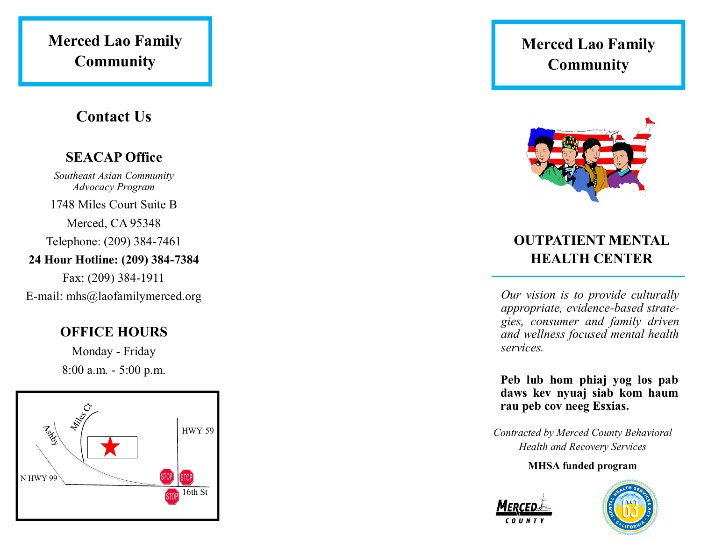## **Merced Lao Family Community**

## **Contact Us**

## **SEACAP Office**

*Southeast Asian Community Advocacy Program* 

1748 Miles Court Suite B

Merced, CA 95348

Telephone: (209) 384-7461

### **24 Hour Hotline: (209) 384-7384**

Fax: (209) 384-1911

E-mail: mhs@laofamilymerced.org

## **OFFICE HOURS**

Monday - Friday 8:00 a.m. - 5:00 p.m.



## **Merced Lao Family Community**



## **OUTPATIENT MENTAL HEALTH CENTER**

*Our vision is to provide culturally appropriate, evidence-based strategies, consumer and family driven and wellness focused mental health services.*

**Peb lub hom phiaj yog los pab daws kev nyuaj siab kom haum rau peb cov neeg Esxias.**

*Contracted by Merced County Behavioral Health and Recovery Services*

#### **MHSA funded program**